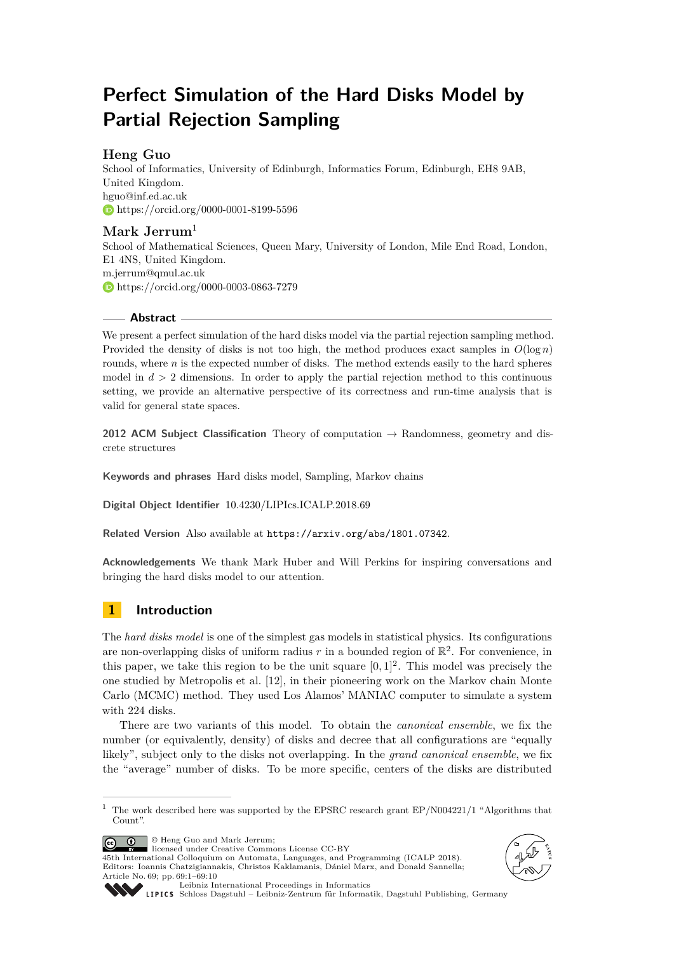# **Perfect Simulation of the Hard Disks Model by Partial Rejection Sampling**

## **Heng Guo**

School of Informatics, University of Edinburgh, Informatics Forum, Edinburgh, EH8 9AB, United Kingdom. [hguo@inf.ed.ac.uk](mailto:hguo@inf.ed.ac.uk) <https://orcid.org/0000-0001-8199-5596>

## **Mark Jerrum**<sup>1</sup>

School of Mathematical Sciences, Queen Mary, University of London, Mile End Road, London, E1 4NS, United Kingdom. [m.jerrum@qmul.ac.uk](mailto:m.jerrum@qmul.ac.uk) <https://orcid.org/0000-0003-0863-7279>

### **Abstract**

We present a perfect simulation of the hard disks model via the partial rejection sampling method. Provided the density of disks is not too high, the method produces exact samples in  $O(\log n)$ rounds, where *n* is the expected number of disks. The method extends easily to the hard spheres model in  $d > 2$  dimensions. In order to apply the partial rejection method to this continuous setting, we provide an alternative perspective of its correctness and run-time analysis that is valid for general state spaces.

**2012 ACM Subject Classification** Theory of computation → Randomness, geometry and discrete structures

**Keywords and phrases** Hard disks model, Sampling, Markov chains

**Digital Object Identifier** [10.4230/LIPIcs.ICALP.2018.69](http://dx.doi.org/10.4230/LIPIcs.ICALP.2018.69)

**Related Version** Also available at <https://arxiv.org/abs/1801.07342>.

**Acknowledgements** We thank Mark Huber and Will Perkins for inspiring conversations and bringing the hard disks model to our attention.

## **1 Introduction**

The *hard disks model* is one of the simplest gas models in statistical physics. Its configurations are non-overlapping disks of uniform radius  $r$  in a bounded region of  $\mathbb{R}^2$ . For convenience, in this paper, we take this region to be the unit square  $[0,1]^2$ . This model was precisely the one studied by Metropolis et al. [\[12\]](#page-9-0), in their pioneering work on the Markov chain Monte Carlo (MCMC) method. They used Los Alamos' MANIAC computer to simulate a system with 224 disks.

There are two variants of this model. To obtain the *canonical ensemble*, we fix the number (or equivalently, density) of disks and decree that all configurations are "equally likely", subject only to the disks not overlapping. In the *grand canonical ensemble*, we fix the "average" number of disks. To be more specific, centers of the disks are distributed

© Heng Guo and Mark Jerrum;  $\circ$   $\circ$ 

licensed under Creative Commons License CC-BY 45th International Colloquium on Automata, Languages, and Programming (ICALP 2018). Editors: Ioannis Chatzigiannakis, Christos Kaklamanis, Dániel Marx, and Donald Sannella; Article No. 69; pp. 69:1–69[:10](#page-9-1)





[Leibniz International Proceedings in Informatics](http://www.dagstuhl.de/lipics/)

[Schloss Dagstuhl – Leibniz-Zentrum für Informatik, Dagstuhl Publishing, Germany](http://www.dagstuhl.de)

<sup>&</sup>lt;sup>1</sup> The work described here was supported by the EPSRC research grant EP/N004221/1 "Algorithms that Count".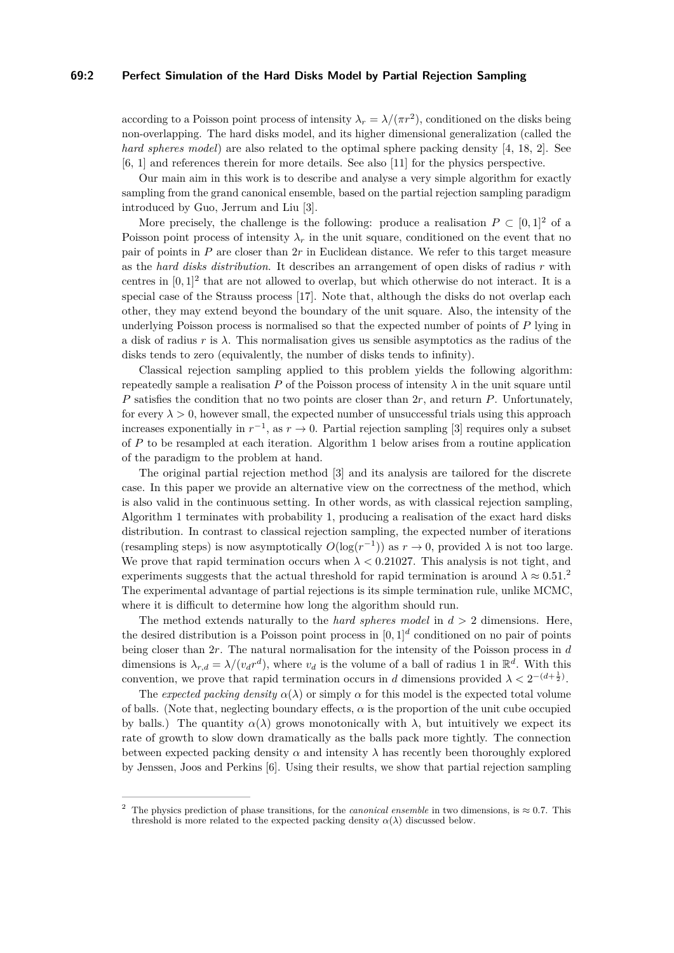#### **69:2 Perfect Simulation of the Hard Disks Model by Partial Rejection Sampling**

according to a Poisson point process of intensity  $\lambda_r = \lambda/(\pi r^2)$ , conditioned on the disks being non-overlapping. The hard disks model, and its higher dimensional generalization (called the *hard spheres model*) are also related to the optimal sphere packing density [\[4,](#page-9-2) [18,](#page-9-3) [2\]](#page-9-4). See [\[6,](#page-9-5) [1\]](#page-9-6) and references therein for more details. See also [\[11\]](#page-9-7) for the physics perspective.

Our main aim in this work is to describe and analyse a very simple algorithm for exactly sampling from the grand canonical ensemble, based on the partial rejection sampling paradigm introduced by Guo, Jerrum and Liu [\[3\]](#page-9-8).

More precisely, the challenge is the following: produce a realisation  $P \subset [0,1]^2$  of a Poisson point process of intensity  $\lambda_r$  in the unit square, conditioned on the event that no pair of points in *P* are closer than 2*r* in Euclidean distance. We refer to this target measure as the *hard disks distribution*. It describes an arrangement of open disks of radius *r* with centres in  $[0,1]^2$  that are not allowed to overlap, but which otherwise do not interact. It is a special case of the Strauss process [\[17\]](#page-9-9). Note that, although the disks do not overlap each other, they may extend beyond the boundary of the unit square. Also, the intensity of the underlying Poisson process is normalised so that the expected number of points of *P* lying in a disk of radius *r* is *λ*. This normalisation gives us sensible asymptotics as the radius of the disks tends to zero (equivalently, the number of disks tends to infinity).

Classical rejection sampling applied to this problem yields the following algorithm: repeatedly sample a realisation  $P$  of the Poisson process of intensity  $\lambda$  in the unit square until *P* satisfies the condition that no two points are closer than 2*r*, and return *P*. Unfortunately, for every  $\lambda > 0$ , however small, the expected number of unsuccessful trials using this approach increases exponentially in  $r^{-1}$ , as  $r \to 0$ . Partial rejection sampling [\[3\]](#page-9-8) requires only a subset of *P* to be resampled at each iteration. Algorithm [1](#page-2-0) below arises from a routine application of the paradigm to the problem at hand.

The original partial rejection method [\[3\]](#page-9-8) and its analysis are tailored for the discrete case. In this paper we provide an alternative view on the correctness of the method, which is also valid in the continuous setting. In other words, as with classical rejection sampling, Algorithm [1](#page-2-0) terminates with probability 1, producing a realisation of the exact hard disks distribution. In contrast to classical rejection sampling, the expected number of iterations (resampling steps) is now asymptotically  $O(\log(r^{-1}))$  as  $r \to 0$ , provided  $\lambda$  is not too large. We prove that rapid termination occurs when  $\lambda < 0.21027$ . This analysis is not tight, and experiments suggests that the actual threshold for rapid termination is around  $\lambda \approx 0.51$ .<sup>[2](#page-1-0)</sup> The experimental advantage of partial rejections is its simple termination rule, unlike MCMC, where it is difficult to determine how long the algorithm should run.

The method extends naturally to the *hard spheres model* in *d >* 2 dimensions. Here, the desired distribution is a Poisson point process in  $[0,1]^d$  conditioned on no pair of points being closer than 2*r*. The natural normalisation for the intensity of the Poisson process in *d* dimensions is  $\lambda_{r,d} = \lambda/(v_d r^d)$ , where  $v_d$  is the volume of a ball of radius 1 in  $\mathbb{R}^d$ . With this convention, we prove that rapid termination occurs in *d* dimensions provided  $\lambda < 2^{-(d+\frac{1}{2})}$ .

The *expected packing density*  $\alpha(\lambda)$  or simply  $\alpha$  for this model is the expected total volume of balls. (Note that, neglecting boundary effects, *α* is the proportion of the unit cube occupied by balls.) The quantity  $\alpha(\lambda)$  grows monotonically with  $\lambda$ , but intuitively we expect its rate of growth to slow down dramatically as the balls pack more tightly. The connection between expected packing density  $\alpha$  and intensity  $\lambda$  has recently been thoroughly explored by Jenssen, Joos and Perkins [\[6\]](#page-9-5). Using their results, we show that partial rejection sampling

<span id="page-1-0"></span><sup>&</sup>lt;sup>2</sup> The physics prediction of phase transitions, for the *canonical ensemble* in two dimensions, is  $\approx 0.7$ . This threshold is more related to the expected packing density  $\alpha(\lambda)$  discussed below.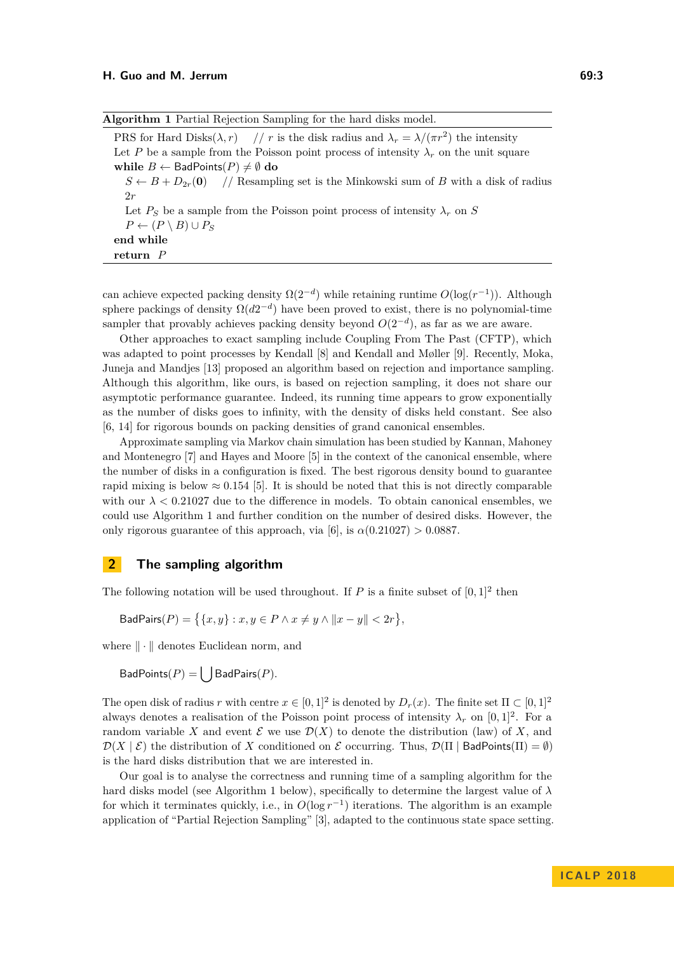<span id="page-2-0"></span>

| Algorithm 1 Partial Rejection Sampling for the hard disks model.                                            |
|-------------------------------------------------------------------------------------------------------------|
| PRS for Hard Disks $(\lambda, r)$ // r is the disk radius and $\lambda_r = \lambda/(\pi r^2)$ the intensity |
| Let P be a sample from the Poisson point process of intensity $\lambda_r$ on the unit square                |
| while $B \leftarrow$ BadPoints $(P) \neq \emptyset$ do                                                      |
| $S \leftarrow B + D_{2r}(0)$ // Resampling set is the Minkowski sum of B with a disk of radius              |
| 2r                                                                                                          |
| Let $P_S$ be a sample from the Poisson point process of intensity $\lambda_r$ on S                          |
| $P \leftarrow (P \setminus B) \cup P_S$                                                                     |

**end while**

**return** *P*

can achieve expected packing density  $\Omega(2^{-d})$  while retaining runtime  $O(\log(r^{-1}))$ . Although sphere packings of density  $\Omega(d2^{-d})$  have been proved to exist, there is no polynomial-time sampler that provably achieves packing density beyond  $O(2^{-d})$ , as far as we are aware.

Other approaches to exact sampling include Coupling From The Past (CFTP), which was adapted to point processes by Kendall [\[8\]](#page-9-10) and Kendall and Møller [\[9\]](#page-9-11). Recently, Moka, Juneja and Mandjes [\[13\]](#page-9-12) proposed an algorithm based on rejection and importance sampling. Although this algorithm, like ours, is based on rejection sampling, it does not share our asymptotic performance guarantee. Indeed, its running time appears to grow exponentially as the number of disks goes to infinity, with the density of disks held constant. See also [\[6,](#page-9-5) [14\]](#page-9-13) for rigorous bounds on packing densities of grand canonical ensembles.

Approximate sampling via Markov chain simulation has been studied by Kannan, Mahoney and Montenegro [\[7\]](#page-9-14) and Hayes and Moore [\[5\]](#page-9-15) in the context of the canonical ensemble, where the number of disks in a configuration is fixed. The best rigorous density bound to guarantee rapid mixing is below  $\approx 0.154$  [\[5\]](#page-9-15). It is should be noted that this is not directly comparable with our  $\lambda < 0.21027$  due to the difference in models. To obtain canonical ensembles, we could use Algorithm [1](#page-2-0) and further condition on the number of desired disks. However, the only rigorous guarantee of this approach, via [\[6\]](#page-9-5), is  $\alpha(0.21027) > 0.0887$ .

## **2 The sampling algorithm**

The following notation will be used throughout. If  $P$  is a finite subset of  $[0,1]^2$  then

 $\mathsf{BadPairs}(P) = \{ \{x, y\} : x, y \in P \land x \neq y \land ||x - y|| < 2r \},\$ 

where  $\|\cdot\|$  denotes Euclidean norm, and

 $BadPoints(P) = \left[ \int BadPairs(P) \right]$ .

The open disk of radius *r* with centre  $x \in [0,1]^2$  is denoted by  $D_r(x)$ . The finite set  $\Pi \subset [0,1]^2$ always denotes a realisation of the Poisson point process of intensity  $\lambda_r$  on  $[0,1]^2$ . For a random variable X and event  $\mathcal E$  we use  $\mathcal D(X)$  to denote the distribution (law) of X, and  $\mathcal{D}(X \mid \mathcal{E})$  the distribution of X conditioned on  $\mathcal{E}$  occurring. Thus,  $\mathcal{D}(\Pi \mid \mathsf{BadPoints}(\Pi) = \emptyset)$ is the hard disks distribution that we are interested in.

Our goal is to analyse the correctness and running time of a sampling algorithm for the hard disks model (see Algorithm [1](#page-2-0) below), specifically to determine the largest value of *λ* for which it terminates quickly, i.e., in  $O(\log r^{-1})$  iterations. The algorithm is an example application of "Partial Rejection Sampling" [\[3\]](#page-9-8), adapted to the continuous state space setting.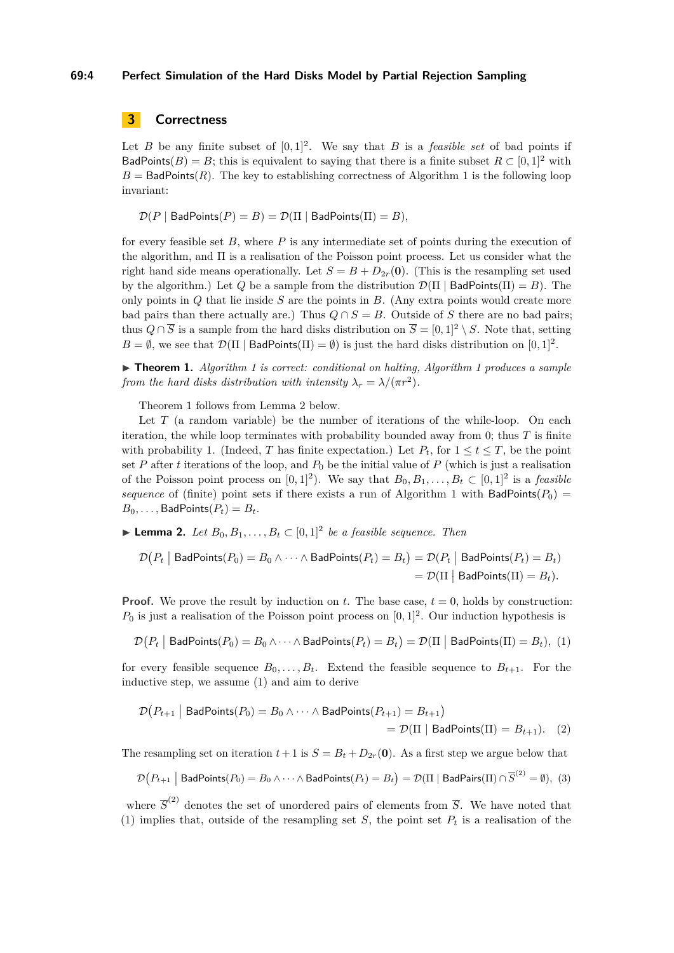#### **69:4 Perfect Simulation of the Hard Disks Model by Partial Rejection Sampling**

## <span id="page-3-5"></span>**3 Correctness**

Let *B* be any finite subset of  $[0, 1]^2$ . We say that *B* is a *feasible set* of bad points if BadPoints(*B*) = *B*; this is equivalent to saying that there is a finite subset  $R \subset [0,1]^2$  with  $B =$  BadPoints( $R$ ). The key to establishing correctness of Algorithm [1](#page-2-0) is the following loop invariant:

 $\mathcal{D}(P | \text{BadPoints}(P) = B) = \mathcal{D}(\Pi | \text{BadPoints}(\Pi) = B),$ 

for every feasible set *B*, where *P* is any intermediate set of points during the execution of the algorithm, and Π is a realisation of the Poisson point process. Let us consider what the right hand side means operationally. Let  $S = B + D_{2r}(0)$ . (This is the resampling set used by the algorithm.) Let *Q* be a sample from the distribution  $\mathcal{D}(\Pi | \text{BadPoints}(\Pi) = B)$ . The only points in *Q* that lie inside *S* are the points in *B*. (Any extra points would create more bad pairs than there actually are.) Thus  $Q \cap S = B$ . Outside of *S* there are no bad pairs; thus  $Q \cap \overline{S}$  is a sample from the hard disks distribution on  $\overline{S} = [0,1]^2 \setminus S$ . Note that, setting  $B = \emptyset$ , we see that  $\mathcal{D}(\Pi | \text{BadPoints}(\Pi) = \emptyset)$  is just the hard disks distribution on  $[0, 1]^2$ .

<span id="page-3-0"></span>▶ **Theorem [1](#page-2-0).** *Algorithm 1 is correct: conditional on halting, Algorithm 1 produces a sample from the hard disks distribution with intensity*  $\lambda_r = \lambda/(\pi r^2)$ .

Theorem [1](#page-3-0) follows from Lemma [2](#page-3-1) below.

Let *T* (a random variable) be the number of iterations of the while-loop. On each iteration, the while loop terminates with probability bounded away from  $0$ ; thus  $T$  is finite with probability 1. (Indeed, *T* has finite expectation.) Let  $P_t$ , for  $1 \le t \le T$ , be the point set *P* after *t* iterations of the loop, and  $P_0$  be the initial value of *P* (which is just a realisation of the Poisson point process on  $[0,1]^2$ ). We say that  $B_0, B_1, \ldots, B_t \subset [0,1]^2$  is a *feasible sequence* of (finite) point sets if there exists a run of Algorithm [1](#page-2-0) with  $BadPoints(P_0)$  =  $B_0, \ldots,$  BadPoints $(P_t) = B_t$ .

<span id="page-3-1"></span>▶ **Lemma 2.** *Let*  $B_0, B_1, \ldots, B_t \subset [0,1]^2$  *be a feasible sequence. Then* 

<span id="page-3-2"></span>
$$
\mathcal{D}\big(P_t \mid \mathsf{BadPoints}(P_0) = B_0 \land \dots \land \mathsf{BadPoints}(P_t) = B_t\big) = \mathcal{D}\big(P_t \mid \mathsf{BadPoints}(P_t) = B_t\big) \n= \mathcal{D}(\Pi \mid \mathsf{BadPoints}(\Pi) = B_t).
$$

**Proof.** We prove the result by induction on  $t$ . The base case,  $t = 0$ , holds by construction:  $P_0$  is just a realisation of the Poisson point process on  $[0,1]^2$ . Our induction hypothesis is

$$
\mathcal{D}\big(P_t \mid \mathsf{BadPoints}(P_0) = B_0 \land \dots \land \mathsf{BadPoints}(P_t) = B_t\big) = \mathcal{D}(\Pi \mid \mathsf{BadPoints}(\Pi) = B_t), (1)
$$

for every feasible sequence  $B_0, \ldots, B_t$ . Extend the feasible sequence to  $B_{t+1}$ . For the inductive step, we assume [\(1\)](#page-3-2) and aim to derive

<span id="page-3-4"></span><span id="page-3-3"></span>
$$
\mathcal{D}(P_{t+1} | \text{BadPoints}(P_0) = B_0 \land \dots \land \text{BadPoints}(P_{t+1}) = B_{t+1})
$$
  
=  $\mathcal{D}(\Pi | \text{BadPoints}(\Pi) = B_{t+1}).$  (2)

The resampling set on iteration  $t + 1$  is  $S = B_t + D_{2r}(\mathbf{0})$ . As a first step we argue below that

$$
\mathcal{D}\big(P_{t+1} \bigm| \text{BadPoints}(P_0) = B_0 \wedge \cdots \wedge \text{BadPoints}(P_t) = B_t\big) = \mathcal{D}(\Pi \bigm| \text{BadPairs}(\Pi) \cap \overline{S}^{(2)} = \emptyset), \tag{3}
$$

where  $\overline{S}^{(2)}$  denotes the set of unordered pairs of elements from  $\overline{S}$ . We have noted that [\(1\)](#page-3-2) implies that, outside of the resampling set *S*, the point set  $P_t$  is a realisation of the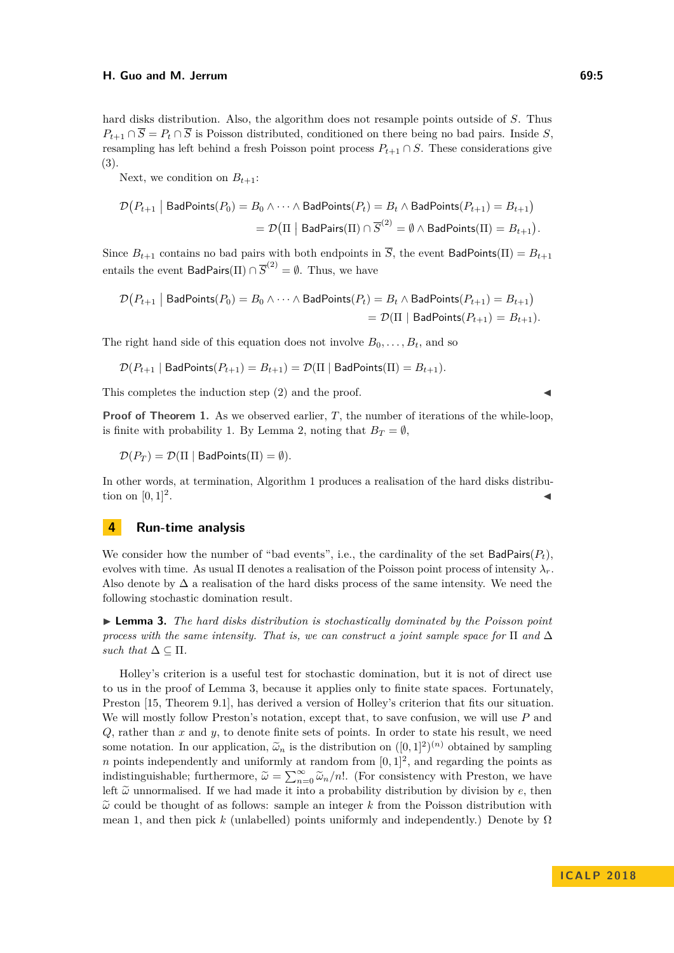#### **H. Guo and M. Jerrum 69:5**

hard disks distribution. Also, the algorithm does not resample points outside of *S*. Thus  $P_{t+1} \cap \overline{S} = P_t \cap \overline{S}$  is Poisson distributed, conditioned on there being no bad pairs. Inside *S*, resampling has left behind a fresh Poisson point process  $P_{t+1} \cap S$ . These considerations give [\(3\)](#page-3-3).

Next, we condition on  $B_{t+1}$ :

$$
\mathcal{D}\big(P_{t+1} \mid \mathsf{BadPoints}(P_0) = B_0 \land \dots \land \mathsf{BadPoints}(P_t) = B_t \land \mathsf{BadPoints}(P_{t+1}) = B_{t+1}\big) \n= \mathcal{D}\big(\Pi \mid \mathsf{BadPairs}(\Pi) \cap \overline{S}^{(2)} = \emptyset \land \mathsf{BadPoints}(\Pi) = B_{t+1}\big).
$$

Since  $B_{t+1}$  contains no bad pairs with both endpoints in  $\overline{S}$ , the event BadPoints( $\Pi$ ) =  $B_{t+1}$ entails the event  $\mathsf{BadPairs}(\Pi) \cap \overline{S}^{(2)} = \emptyset$ . Thus, we have

$$
\mathcal{D}\big(P_{t+1} \mid \mathsf{BadPoints}(P_0) = B_0 \land \dots \land \mathsf{BadPoints}(P_t) = B_t \land \mathsf{BadPoints}(P_{t+1}) = B_{t+1}\big) \n= \mathcal{D}(\Pi \mid \mathsf{BadPoints}(P_{t+1}) = B_{t+1}).
$$

The right hand side of this equation does not involve  $B_0, \ldots, B_t$ , and so

$$
\mathcal{D}(P_{t+1} \mid \mathsf{BadPoints}(P_{t+1}) = B_{t+1}) = \mathcal{D}(\Pi \mid \mathsf{BadPoints}(\Pi) = B_{t+1}).
$$

This completes the induction step  $(2)$  and the proof.

**Proof of Theorem [1.](#page-3-0)** As we observed earlier, *T*, the number of iterations of the while-loop, is finite with probability 1. By Lemma [2,](#page-3-1) noting that  $B_T = \emptyset$ ,

 $\mathcal{D}(P_T) = \mathcal{D}(\Pi \mid \mathsf{BadPoints}(\Pi) = \emptyset).$ 

In other words, at termination, Algorithm [1](#page-2-0) produces a realisation of the hard disks distribution on  $[0, 1]^2$ . . John Stein Stein Stein Stein Stein Stein Stein Stein Stein Stein Stein Stein Stein Stein Stein Stein Stein S<br>John Stein Stein Stein Stein Stein Stein Stein Stein Stein Stein Stein Stein Stein Stein Stein Stein Stein Ste

## <span id="page-4-1"></span>**4 Run-time analysis**

We consider how the number of "bad events", i.e., the cardinality of the set  $BadPairs(P_t)$ , evolves with time. As usual Π denotes a realisation of the Poisson point process of intensity *λr*. Also denote by  $\Delta$  a realisation of the hard disks process of the same intensity. We need the following stochastic domination result.

<span id="page-4-0"></span>I **Lemma 3.** *The hard disks distribution is stochastically dominated by the Poisson point process with the same intensity. That is, we can construct a joint sample space for*  $\Pi$  *and*  $\Delta$ *such that*  $\Delta \subset \Pi$ *.* 

Holley's criterion is a useful test for stochastic domination, but it is not of direct use to us in the proof of Lemma [3,](#page-4-0) because it applies only to finite state spaces. Fortunately, Preston [\[15,](#page-9-16) Theorem 9.1], has derived a version of Holley's criterion that fits our situation. We will mostly follow Preston's notation, except that, to save confusion, we will use *P* and *Q*, rather than *x* and *y*, to denote finite sets of points. In order to state his result, we need some notation. In our application,  $\tilde{\omega}_n$  is the distribution on  $([0,1]^2)^{(n)}$  obtained by sampling<br>a points independently and uniformly at parton from [0, 1]<sup>2</sup>, and presuling the points as *n* points independently and uniformly at random from  $[0, 1]^2$ , and regarding the points as indistinguishable; furthermore,  $\tilde{\omega} = \sum_{n=0}^{\infty} \tilde{\omega}_n/n!$ . (For consistency with Preston, we have left  $\tilde{\omega}$  unnormalised. If we had made it into a probability distribution by division by  $e$ , then  $\tilde{\omega}$  could be thought of as follows: sample an integer k from the Poisson distribution with mean 1, and then pick k (unlabelled) points uniformly and independently.) Denote by  $\Omega$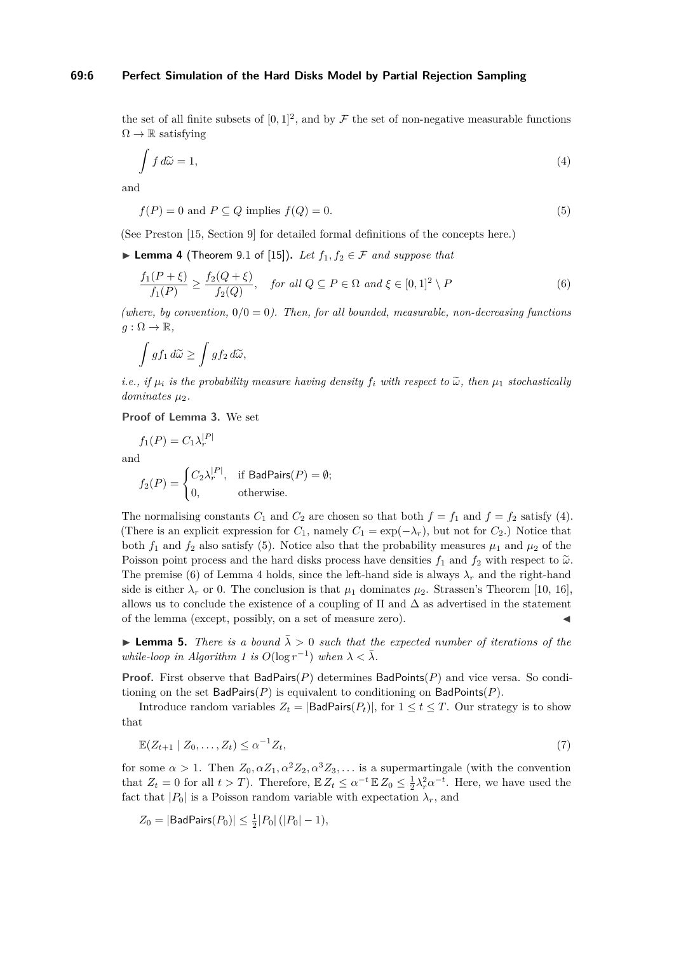#### **69:6 Perfect Simulation of the Hard Disks Model by Partial Rejection Sampling**

the set of all finite subsets of  $[0,1]^2$ , and by  $\mathcal F$  the set of non-negative measurable functions  $\Omega \to \mathbb{R}$  satisfying

<span id="page-5-0"></span>
$$
\int f \, d\tilde{\omega} = 1,\tag{4}
$$

<span id="page-5-1"></span>and

$$
f(P) = 0 \text{ and } P \subseteq Q \text{ implies } f(Q) = 0. \tag{5}
$$

(See Preston [\[15,](#page-9-16) Section 9] for detailed formal definitions of the concepts here.)

<span id="page-5-3"></span>▶ **Lemma 4** (Theorem 9.1 of [\[15\]](#page-9-16)). Let  $f_1, f_2 \in \mathcal{F}$  and suppose that

<span id="page-5-2"></span>
$$
\frac{f_1(P+\xi)}{f_1(P)} \ge \frac{f_2(Q+\xi)}{f_2(Q)}, \quad \text{for all } Q \subseteq P \in \Omega \text{ and } \xi \in [0,1]^2 \setminus P \tag{6}
$$

(where, by convention,  $0/0 = 0$ ). Then, for all bounded, measurable, non-decreasing functions  $g: \Omega \to \mathbb{R},$ 

$$
\int gf_1\,d\widetilde{\omega}\geq \int gf_2\,d\widetilde{\omega},
$$

*i.e., if*  $\mu_i$  *is the probability measure having density*  $f_i$  *with respect to*  $\tilde{\omega}$ *, then*  $\mu_1$  *stochastically*  $dominates \mu_2$ .

**Proof of Lemma [3.](#page-4-0)** We set

$$
f_1(P) = C_1 \lambda_r^{|P|}
$$

and

$$
f_2(P) = \begin{cases} C_2 \lambda_r^{|P|}, & \text{if BadPairs}(P) = \emptyset; \\ 0, & \text{otherwise.} \end{cases}
$$

The normalising constants  $C_1$  and  $C_2$  are chosen so that both  $f = f_1$  and  $f = f_2$  satisfy [\(4\)](#page-5-0). (There is an explicit expression for  $C_1$ , namely  $C_1 = \exp(-\lambda_r)$ , but not for  $C_2$ .) Notice that both  $f_1$  and  $f_2$  also satisfy [\(5\)](#page-5-1). Notice also that the probability measures  $\mu_1$  and  $\mu_2$  of the Poisson point process and the hard disks process have densities  $f_1$  and  $f_2$  with respect to  $\tilde{\omega}$ . The premise [\(6\)](#page-5-2) of Lemma [4](#page-5-3) holds, since the left-hand side is always  $\lambda_r$  and the right-hand side is either  $\lambda_r$  or 0. The conclusion is that  $\mu_1$  dominates  $\mu_2$ . Strassen's Theorem [\[10,](#page-9-17) [16\]](#page-9-18), allows us to conclude the existence of a coupling of  $\Pi$  and  $\Delta$  as advertised in the statement of the lemma (except, possibly, on a set of measure zero).

<span id="page-5-5"></span>**Lemma 5.** *There is a bound*  $\bar{\lambda} > 0$  *such that the expected number of iterations of the while-loop in Algorithm [1](#page-2-0) is*  $O(\log r^{-1})$  *when*  $\lambda < \overline{\lambda}$ *.* 

**Proof.** First observe that BadPairs(*P*) determines BadPoints(*P*) and vice versa. So conditioning on the set  $BadPairs(P)$  is equivalent to conditioning on  $BadPoints(P)$ .

<span id="page-5-4"></span>Introduce random variables  $Z_t = |\text{BadPairs}(P_t)|$ , for  $1 \le t \le T$ . Our strategy is to show that

$$
\mathbb{E}(Z_{t+1} \mid Z_0, \dots, Z_t) \le \alpha^{-1} Z_t,\tag{7}
$$

for some  $\alpha > 1$ . Then  $Z_0, \alpha Z_1, \alpha^2 Z_2, \alpha^3 Z_3, \ldots$  is a supermartingale (with the convention that  $Z_t = 0$  for all  $t > T$ ). Therefore,  $\mathbb{E} Z_t \leq \alpha^{-t} \mathbb{E} Z_0 \leq \frac{1}{2} \lambda_r^2 \alpha^{-t}$ . Here, we have used the fact that  $|P_0|$  is a Poisson random variable with expectation  $\lambda_r$ , and

$$
Z_0 = |\mathsf{BadPairs}(P_0)| \le \frac{1}{2}|P_0| (|P_0| - 1),
$$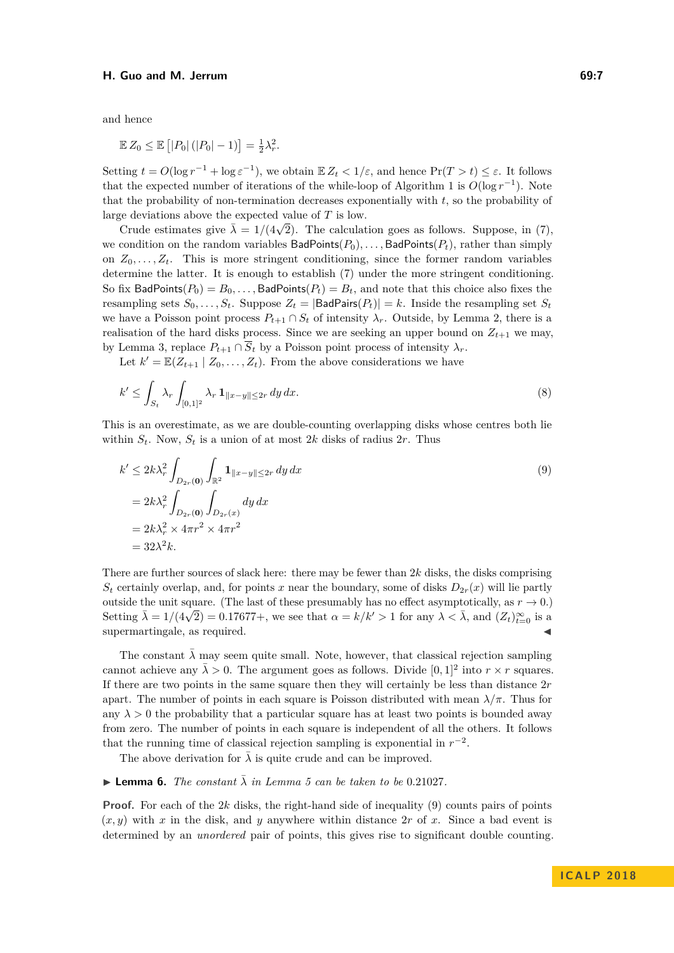#### **H. Guo and M. Jerrum 69:7**

and hence

$$
\mathbb{E} Z_0 \le \mathbb{E} \left[ |P_0| \left( |P_0| - 1 \right) \right] = \frac{1}{2} \lambda_r^2.
$$

Setting  $t = O(\log r^{-1} + \log \varepsilon^{-1})$ , we obtain  $\mathbb{E} Z_t < 1/\varepsilon$ , and hence  $\Pr(T > t) \leq \varepsilon$ . It follows that the expected number of iterations of the while-loop of Algorithm [1](#page-2-0) is  $O(\log r^{-1})$ . Note that the probability of non-termination decreases exponentially with *t*, so the probability of large deviations above the expected value of *T* is low.

Crude estimates give  $\bar{\lambda} = 1/(4\sqrt{2})$ . The calculation goes as follows. Suppose, in [\(7\)](#page-5-4), we condition on the random variables  $BadPoints(P_0), \ldots$ ,  $BadPoints(P_t)$ , rather than simply on  $Z_0, \ldots, Z_t$ . This is more stringent conditioning, since the former random variables determine the latter. It is enough to establish [\(7\)](#page-5-4) under the more stringent conditioning. So fix BadPoints( $P_0$ ) =  $B_0$ ,..., BadPoints( $P_t$ ) =  $B_t$ , and note that this choice also fixes the resampling sets  $S_0, \ldots, S_t$ . Suppose  $Z_t = |\text{BadPairs}(P_t)| = k$ . Inside the resampling set  $S_t$ we have a Poisson point process  $P_{t+1} \cap S_t$  of intensity  $\lambda_r$ . Outside, by Lemma [2,](#page-3-1) there is a realisation of the hard disks process. Since we are seeking an upper bound on  $Z_{t+1}$  we may, by Lemma [3,](#page-4-0) replace  $P_{t+1} \cap \overline{S}_t$  by a Poisson point process of intensity  $\lambda_r$ .

<span id="page-6-1"></span>Let  $k' = \mathbb{E}(Z_{t+1} | Z_0, \ldots, Z_t)$ . From the above considerations we have

$$
k' \le \int_{S_t} \lambda_r \int_{[0,1]^2} \lambda_r \, \mathbf{1}_{\|x-y\| \le 2r} \, dy \, dx. \tag{8}
$$

This is an overestimate, as we are double-counting overlapping disks whose centres both lie within  $S_t$ . Now,  $S_t$  is a union of at most 2*k* disks of radius 2*r*. Thus

<span id="page-6-0"></span>
$$
k' \leq 2k\lambda_r^2 \int_{D_{2r}(\mathbf{0})} \int_{\mathbb{R}^2} \mathbf{1}_{\|x-y\| \leq 2r} \, dy \, dx
$$
  
=  $2k\lambda_r^2 \int_{D_{2r}(\mathbf{0})} \int_{D_{2r}(x)} dy \, dx$   
=  $2k\lambda_r^2 \times 4\pi r^2 \times 4\pi r^2$   
=  $32\lambda^2 k$ . (9)

There are further sources of slack here: there may be fewer than 2*k* disks, the disks comprising  $S_t$  certainly overlap, and, for points *x* near the boundary, some of disks  $D_{2r}(x)$  will lie partly outside the unit square. (The last of these presumably has no effect asymptotically, as  $r \to 0$ .) Setting  $\bar{\lambda} = 1/(4\sqrt{2}) = 0.17677+$ , we see that  $\alpha = k/k' > 1$  for any  $\lambda < \bar{\lambda}$ , and  $(Z_t)_{t=0}^{\infty}$  is a supermartingale, as required.

The constant  $\bar{\lambda}$  may seem quite small. Note, however, that classical rejection sampling cannot achieve any  $\bar{\lambda} > 0$ . The argument goes as follows. Divide  $[0, 1]^2$  into  $r \times r$  squares. If there are two points in the same square then they will certainly be less than distance 2*r* apart. The number of points in each square is Poisson distributed with mean  $\lambda/\pi$ . Thus for any  $\lambda > 0$  the probability that a particular square has at least two points is bounded away from zero. The number of points in each square is independent of all the others. It follows that the running time of classical rejection sampling is exponential in  $r^{-2}$ .

The above derivation for  $\lambda$  is quite crude and can be improved.

#### $\blacktriangleright$  **Lemma 6.** *The constant*  $\bar{\lambda}$  *in Lemma [5](#page-5-5) can be taken to be* 0.21027.

**Proof.** For each of the 2*k* disks, the right-hand side of inequality [\(9\)](#page-6-0) counts pairs of points  $(x, y)$  with x in the disk, and y anywhere within distance 2r of x. Since a bad event is determined by an *unordered* pair of points, this gives rise to significant double counting.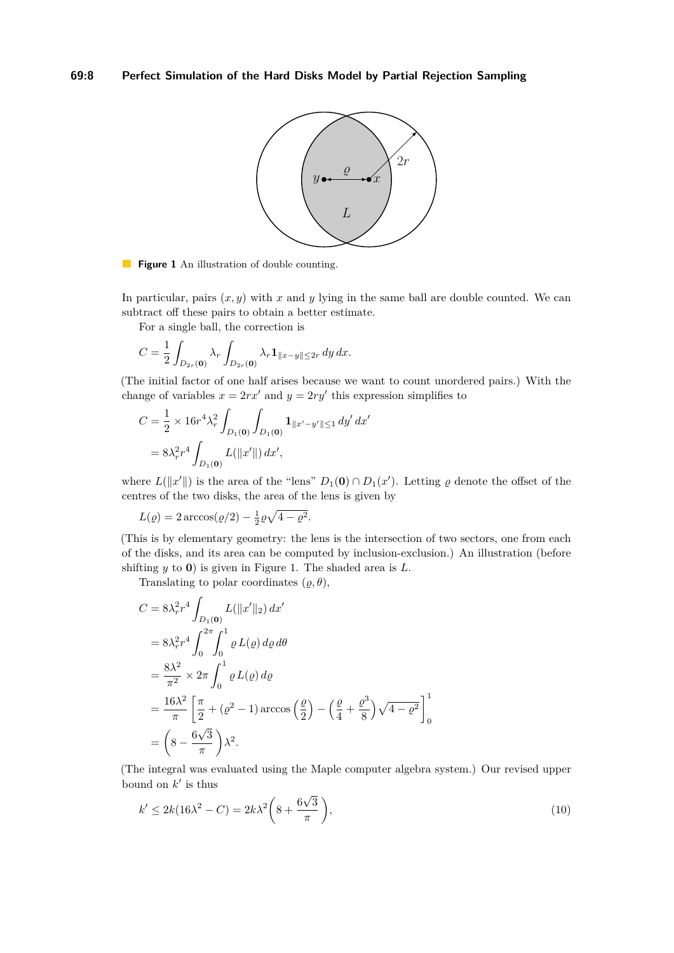<span id="page-7-0"></span>

**Figure 1** An illustration of double counting.

In particular, pairs  $(x, y)$  with x and y lying in the same ball are double counted. We can subtract off these pairs to obtain a better estimate.

For a single ball, the correction is

$$
C = \frac{1}{2} \int_{D_{2r}(\mathbf{0})} \lambda_r \int_{D_{2r}(\mathbf{0})} \lambda_r \mathbf{1}_{\|x-y\| \le 2r} \, dy \, dx.
$$

(The initial factor of one half arises because we want to count unordered pairs.) With the change of variables  $x = 2rx'$  and  $y = 2ry'$  this expression simplifies to

$$
C = \frac{1}{2} \times 16r^4 \lambda_r^2 \int_{D_1(\mathbf{0})} \int_{D_1(\mathbf{0})} \mathbf{1}_{\|x' - y'\| \le 1} \, dy' \, dx'
$$

$$
= 8\lambda_r^2 r^4 \int_{D_1(\mathbf{0})} L(\|x'\|) \, dx',
$$

where  $L(\Vert x' \Vert)$  is the area of the "lens"  $D_1(\mathbf{0}) \cap D_1(x')$ . Letting  $\varrho$  denote the offset of the centres of the two disks, the area of the lens is given by

 $L(\varrho) = 2 \arccos(\varrho/2) - \frac{1}{2}\varrho\sqrt{4-\varrho^2}.$ 

(This is by elementary geometry: the lens is the intersection of two sectors, one from each of the disks, and its area can be computed by inclusion-exclusion.) An illustration (before shifting *y* to **0**) is given in Figure [1.](#page-7-0) The shaded area is *L*.

Translating to polar coordinates  $(\varrho, \theta)$ ,

$$
C = 8\lambda_r^2 r^4 \int_{D_1(\mathbf{0})} L(\|x'\|_2) dx'
$$
  
=  $8\lambda_r^2 r^4 \int_0^{2\pi} \int_0^1 \varrho L(\varrho) d\varrho d\theta$   
=  $\frac{8\lambda^2}{\pi^2} \times 2\pi \int_0^1 \varrho L(\varrho) d\varrho$   
=  $\frac{16\lambda^2}{\pi} \left[ \frac{\pi}{2} + (\varrho^2 - 1) \arccos \left( \frac{\varrho}{2} \right) - \left( \frac{\varrho}{4} + \frac{\varrho^3}{8} \right) \sqrt{4 - \varrho^2} \right]_0^1$   
=  $\left( 8 - \frac{6\sqrt{3}}{\pi} \right) \lambda^2$ .

(The integral was evaluated using the Maple computer algebra system.) Our revised upper bound on  $k'$  is thus √

$$
k' \le 2k(16\lambda^2 - C) = 2k\lambda^2 \left(8 + \frac{6\sqrt{3}}{\pi}\right),\tag{10}
$$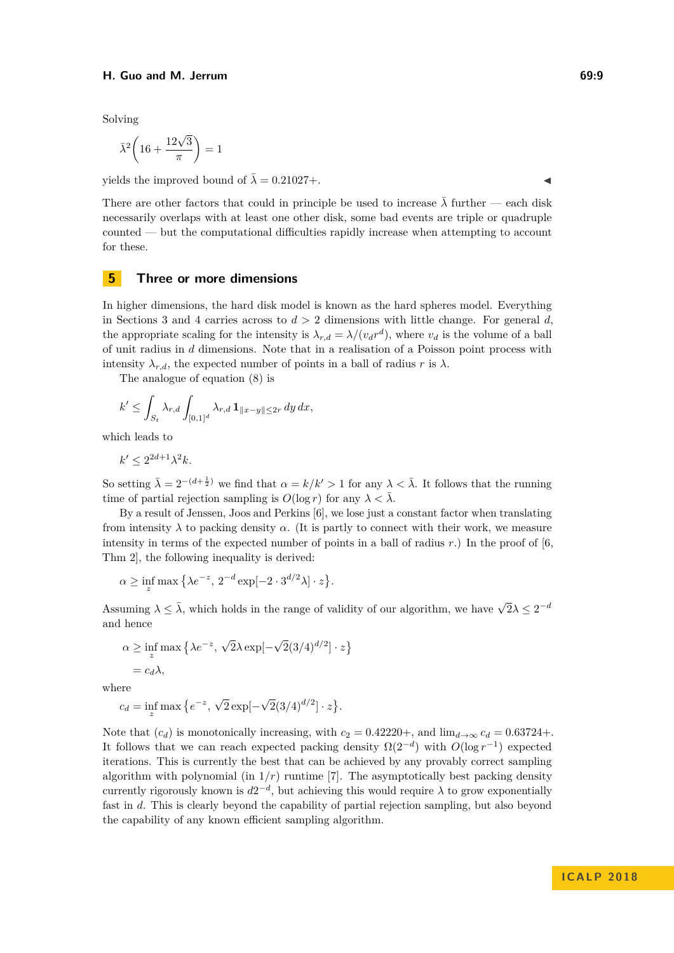#### **H. Guo and M. Jerrum 69:9**

Solving

$$
\bar{\lambda}^2 \left( 16 + \frac{12\sqrt{3}}{\pi} \right) = 1
$$

yields the improved bound of  $\bar{\lambda} = 0.21027 +$ .

There are other factors that could in principle be used to increase  $\bar{\lambda}$  further — each disk necessarily overlaps with at least one other disk, some bad events are triple or quadruple counted — but the computational difficulties rapidly increase when attempting to account for these.

## **5 Three or more dimensions**

In higher dimensions, the hard disk model is known as the hard spheres model. Everything in Sections [3](#page-3-5) and [4](#page-4-1) carries across to *d >* 2 dimensions with little change. For general *d*, the appropriate scaling for the intensity is  $\lambda_{r,d} = \lambda/(v_d r^d)$ , where  $v_d$  is the volume of a ball of unit radius in *d* dimensions. Note that in a realisation of a Poisson point process with intensity  $\lambda_{r,d}$ , the expected number of points in a ball of radius *r* is  $\lambda$ .

The analogue of equation [\(8\)](#page-6-1) is

$$
k' \le \int_{S_t} \lambda_{r,d} \int_{[0,1]^d} \lambda_{r,d} \, \mathbf{1}_{\|x-y\| \le 2r} \, dy \, dx,
$$

which leads to

$$
k' \le 2^{2d+1} \lambda^2 k.
$$

So setting  $\bar{\lambda} = 2^{-(d+\frac{1}{2})}$  we find that  $\alpha = k/k' > 1$  for any  $\lambda < \bar{\lambda}$ . It follows that the running time of partial rejection sampling is  $O(\log r)$  for any  $\lambda < \overline{\lambda}$ .

By a result of Jenssen, Joos and Perkins [\[6\]](#page-9-5), we lose just a constant factor when translating from intensity  $\lambda$  to packing density  $\alpha$ . (It is partly to connect with their work, we measure intensity in terms of the expected number of points in a ball of radius *r*.) In the proof of [\[6,](#page-9-5) Thm 2], the following inequality is derived:

$$
\alpha \ge \inf_z \max \left\{ \lambda e^{-z}, \, 2^{-d} \exp[-2 \cdot 3^{d/2} \lambda] \cdot z \right\}.
$$

Assuming  $\lambda \leq \overline{\lambda}$ , which holds in the range of validity of our algorithm, we have  $\sqrt{2}\lambda \leq 2^{-d}$ and hence

$$
\alpha \ge \inf_{z} \max \left\{ \lambda e^{-z}, \sqrt{2} \lambda \exp[-\sqrt{2}(3/4)^{d/2}] \cdot z \right\}
$$
  
=  $c_d \lambda$ ,

where

$$
c_d = \inf_z \max \left\{ e^{-z}, \sqrt{2} \exp[-\sqrt{2}(3/4)^{d/2}] \cdot z \right\}.
$$

Note that  $(c_d)$  is monotonically increasing, with  $c_2 = 0.42220 +$ , and  $\lim_{d\to\infty} c_d = 0.63724 +$ . It follows that we can reach expected packing density  $\Omega(2^{-d})$  with  $O(\log r^{-1})$  expected iterations. This is currently the best that can be achieved by any provably correct sampling algorithm with polynomial (in  $1/r$ ) runtime [\[7\]](#page-9-14). The asymptotically best packing density currently rigorously known is  $d2^{-d}$ , but achieving this would require  $\lambda$  to grow exponentially fast in *d*. This is clearly beyond the capability of partial rejection sampling, but also beyond the capability of any known efficient sampling algorithm.